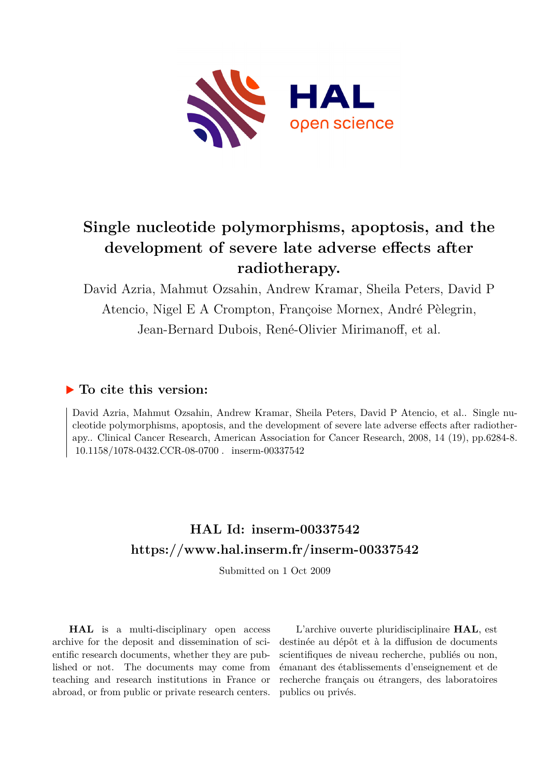

## **Single nucleotide polymorphisms, apoptosis, and the development of severe late adverse effects after radiotherapy.**

David Azria, Mahmut Ozsahin, Andrew Kramar, Sheila Peters, David P Atencio, Nigel E A Crompton, Françoise Mornex, André Pèlegrin, Jean-Bernard Dubois, René-Olivier Mirimanoff, et al.

## **To cite this version:**

David Azria, Mahmut Ozsahin, Andrew Kramar, Sheila Peters, David P Atencio, et al.. Single nucleotide polymorphisms, apoptosis, and the development of severe late adverse effects after radiotherapy.. Clinical Cancer Research, American Association for Cancer Research, 2008, 14 (19), pp.6284-8. 10.1158/1078-0432.CCR-08-0700. inserm-00337542

## **HAL Id: inserm-00337542 <https://www.hal.inserm.fr/inserm-00337542>**

Submitted on 1 Oct 2009

**HAL** is a multi-disciplinary open access archive for the deposit and dissemination of scientific research documents, whether they are published or not. The documents may come from teaching and research institutions in France or abroad, or from public or private research centers.

L'archive ouverte pluridisciplinaire **HAL**, est destinée au dépôt et à la diffusion de documents scientifiques de niveau recherche, publiés ou non, émanant des établissements d'enseignement et de recherche français ou étrangers, des laboratoires publics ou privés.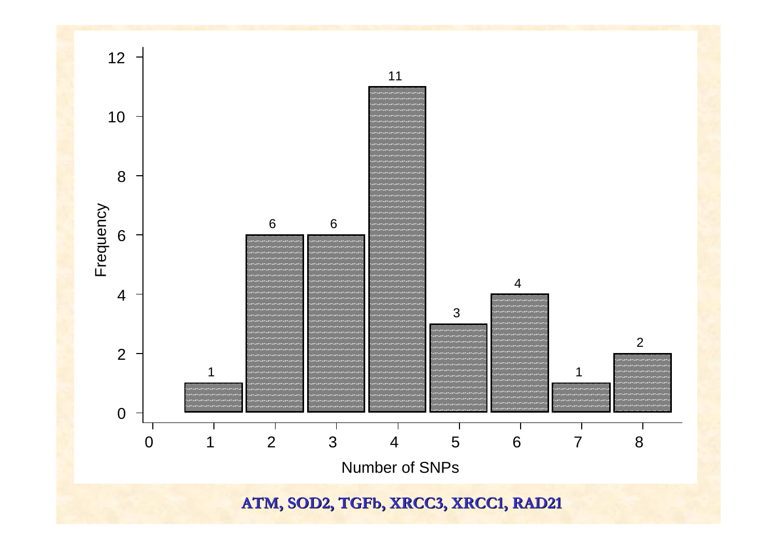

**ATM, SOD2, ATM, SOD2, TGFb, XRCC3, XRCC1, RAD21 , XRCC3, XRCC1, RAD21**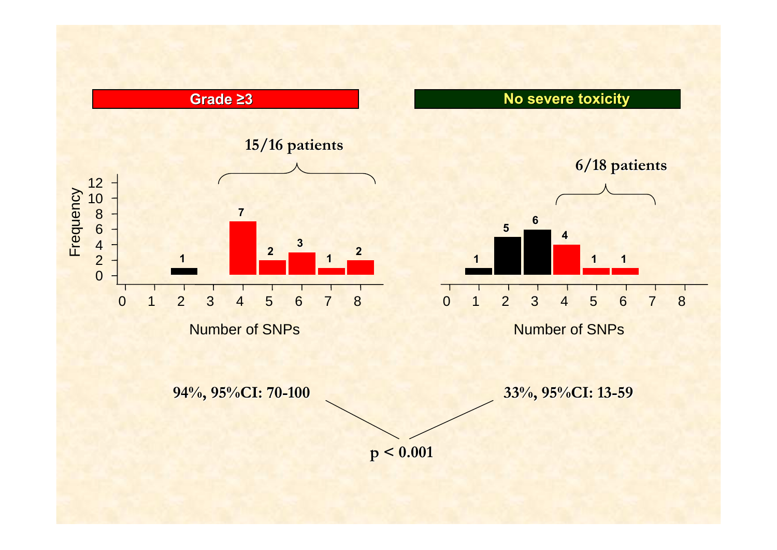**Grade ≥3 No severe toxicity toxicity**



Number of SNPs

**5** $\begin{array}{|c|c|c|}\n\hline\n5 & 6 \\
\hline\n4 & 4\n\end{array}$ **1 1** 0 1 2 3 4 5 6 7 8 **6/18 patients 6/18 patients**

Number of SNPs

**94%, 95%CI: 70 94%, 95%CI: 70-100 33%, 95%CI: 13 33%, 95%CI: 13-59**

**p < 0.001 p < 0.001**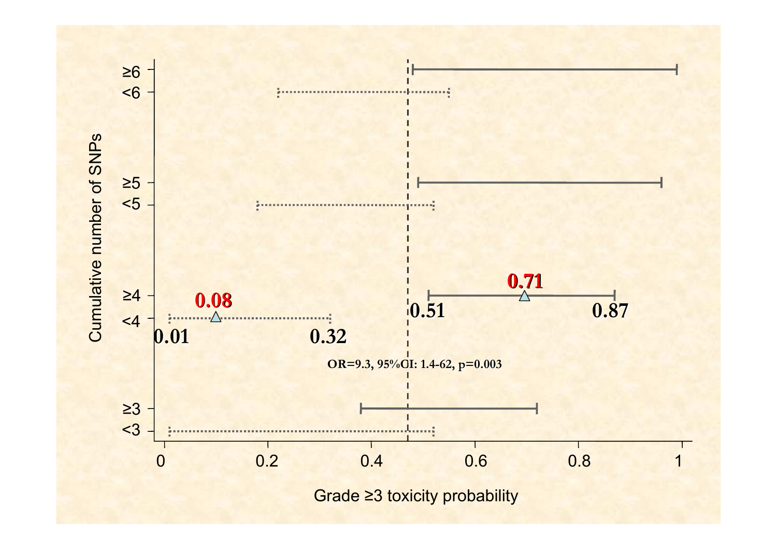

Grade ≥3 toxicity probability